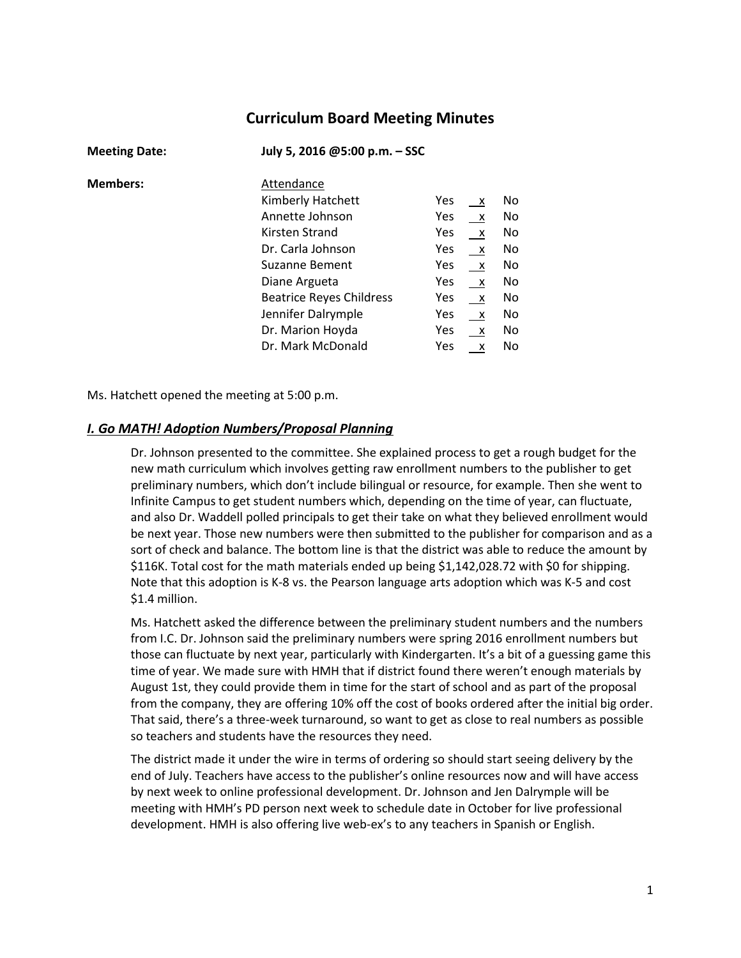# **Curriculum Board Meeting Minutes**

| <b>Meeting Date:</b> | July 5, 2016 @5:00 p.m. - SSC   |     |              |     |
|----------------------|---------------------------------|-----|--------------|-----|
| <b>Members:</b>      | Attendance                      |     |              |     |
|                      | Kimberly Hatchett               | Yes | $\mathsf{X}$ | No  |
|                      | Annette Johnson                 | Yes | $\mathsf{X}$ | No. |
|                      | Kirsten Strand                  | Yes | $\mathsf{X}$ | No. |
|                      | Dr. Carla Johnson               | Yes | $\mathsf{X}$ | No. |
|                      | <b>Suzanne Bement</b>           | Yes | $\mathsf{X}$ | No  |
|                      | Diane Argueta                   | Yes | $\mathsf{X}$ | No  |
|                      | <b>Beatrice Reyes Childress</b> | Yes | $\mathsf{X}$ | No  |
|                      | Jennifer Dalrymple              | Yes | $\mathsf{X}$ | No. |
|                      | Dr. Marion Hoyda                | Yes | $\mathsf{X}$ | No. |
|                      | Dr. Mark McDonald               | Yes | $\mathsf{X}$ | No. |

Ms. Hatchett opened the meeting at 5:00 p.m.

### *I. Go MATH! Adoption Numbers/Proposal Planning*

Dr. Johnson presented to the committee. She explained process to get a rough budget for the new math curriculum which involves getting raw enrollment numbers to the publisher to get preliminary numbers, which don't include bilingual or resource, for example. Then she went to Infinite Campus to get student numbers which, depending on the time of year, can fluctuate, and also Dr. Waddell polled principals to get their take on what they believed enrollment would be next year. Those new numbers were then submitted to the publisher for comparison and as a sort of check and balance. The bottom line is that the district was able to reduce the amount by \$116K. Total cost for the math materials ended up being \$1,142,028.72 with \$0 for shipping. Note that this adoption is K-8 vs. the Pearson language arts adoption which was K-5 and cost \$1.4 million.

Ms. Hatchett asked the difference between the preliminary student numbers and the numbers from I.C. Dr. Johnson said the preliminary numbers were spring 2016 enrollment numbers but those can fluctuate by next year, particularly with Kindergarten. It's a bit of a guessing game this time of year. We made sure with HMH that if district found there weren't enough materials by August 1st, they could provide them in time for the start of school and as part of the proposal from the company, they are offering 10% off the cost of books ordered after the initial big order. That said, there's a three-week turnaround, so want to get as close to real numbers as possible so teachers and students have the resources they need.

The district made it under the wire in terms of ordering so should start seeing delivery by the end of July. Teachers have access to the publisher's online resources now and will have access by next week to online professional development. Dr. Johnson and Jen Dalrymple will be meeting with HMH's PD person next week to schedule date in October for live professional development. HMH is also offering live web-ex's to any teachers in Spanish or English.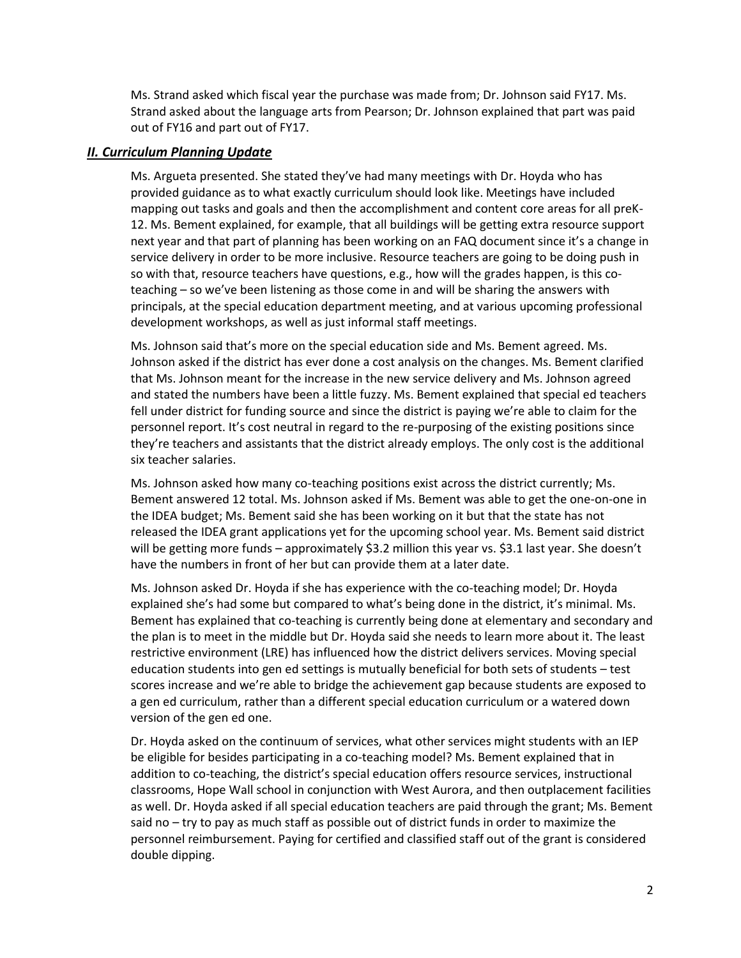Ms. Strand asked which fiscal year the purchase was made from; Dr. Johnson said FY17. Ms. Strand asked about the language arts from Pearson; Dr. Johnson explained that part was paid out of FY16 and part out of FY17.

# *II. Curriculum Planning Update*

Ms. Argueta presented. She stated they've had many meetings with Dr. Hoyda who has provided guidance as to what exactly curriculum should look like. Meetings have included mapping out tasks and goals and then the accomplishment and content core areas for all preK-12. Ms. Bement explained, for example, that all buildings will be getting extra resource support next year and that part of planning has been working on an FAQ document since it's a change in service delivery in order to be more inclusive. Resource teachers are going to be doing push in so with that, resource teachers have questions, e.g., how will the grades happen, is this coteaching – so we've been listening as those come in and will be sharing the answers with principals, at the special education department meeting, and at various upcoming professional development workshops, as well as just informal staff meetings.

Ms. Johnson said that's more on the special education side and Ms. Bement agreed. Ms. Johnson asked if the district has ever done a cost analysis on the changes. Ms. Bement clarified that Ms. Johnson meant for the increase in the new service delivery and Ms. Johnson agreed and stated the numbers have been a little fuzzy. Ms. Bement explained that special ed teachers fell under district for funding source and since the district is paying we're able to claim for the personnel report. It's cost neutral in regard to the re-purposing of the existing positions since they're teachers and assistants that the district already employs. The only cost is the additional six teacher salaries.

Ms. Johnson asked how many co-teaching positions exist across the district currently; Ms. Bement answered 12 total. Ms. Johnson asked if Ms. Bement was able to get the one-on-one in the IDEA budget; Ms. Bement said she has been working on it but that the state has not released the IDEA grant applications yet for the upcoming school year. Ms. Bement said district will be getting more funds – approximately \$3.2 million this year vs. \$3.1 last year. She doesn't have the numbers in front of her but can provide them at a later date.

Ms. Johnson asked Dr. Hoyda if she has experience with the co-teaching model; Dr. Hoyda explained she's had some but compared to what's being done in the district, it's minimal. Ms. Bement has explained that co-teaching is currently being done at elementary and secondary and the plan is to meet in the middle but Dr. Hoyda said she needs to learn more about it. The least restrictive environment (LRE) has influenced how the district delivers services. Moving special education students into gen ed settings is mutually beneficial for both sets of students – test scores increase and we're able to bridge the achievement gap because students are exposed to a gen ed curriculum, rather than a different special education curriculum or a watered down version of the gen ed one.

Dr. Hoyda asked on the continuum of services, what other services might students with an IEP be eligible for besides participating in a co-teaching model? Ms. Bement explained that in addition to co-teaching, the district's special education offers resource services, instructional classrooms, Hope Wall school in conjunction with West Aurora, and then outplacement facilities as well. Dr. Hoyda asked if all special education teachers are paid through the grant; Ms. Bement said no – try to pay as much staff as possible out of district funds in order to maximize the personnel reimbursement. Paying for certified and classified staff out of the grant is considered double dipping.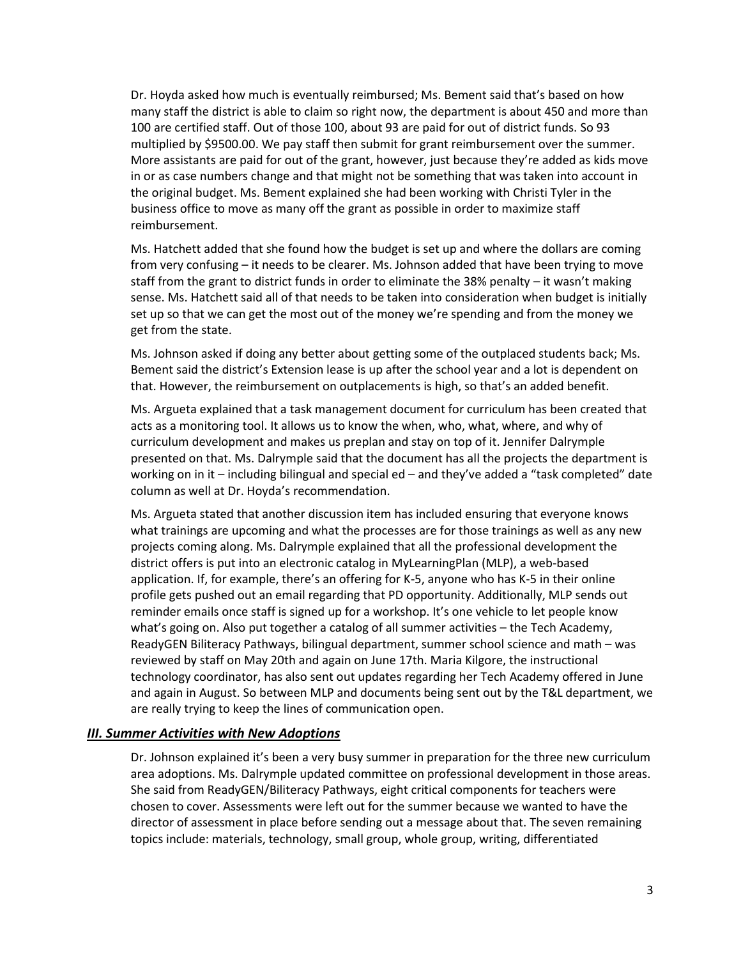Dr. Hoyda asked how much is eventually reimbursed; Ms. Bement said that's based on how many staff the district is able to claim so right now, the department is about 450 and more than 100 are certified staff. Out of those 100, about 93 are paid for out of district funds. So 93 multiplied by \$9500.00. We pay staff then submit for grant reimbursement over the summer. More assistants are paid for out of the grant, however, just because they're added as kids move in or as case numbers change and that might not be something that was taken into account in the original budget. Ms. Bement explained she had been working with Christi Tyler in the business office to move as many off the grant as possible in order to maximize staff reimbursement.

Ms. Hatchett added that she found how the budget is set up and where the dollars are coming from very confusing – it needs to be clearer. Ms. Johnson added that have been trying to move staff from the grant to district funds in order to eliminate the 38% penalty – it wasn't making sense. Ms. Hatchett said all of that needs to be taken into consideration when budget is initially set up so that we can get the most out of the money we're spending and from the money we get from the state.

Ms. Johnson asked if doing any better about getting some of the outplaced students back; Ms. Bement said the district's Extension lease is up after the school year and a lot is dependent on that. However, the reimbursement on outplacements is high, so that's an added benefit.

Ms. Argueta explained that a task management document for curriculum has been created that acts as a monitoring tool. It allows us to know the when, who, what, where, and why of curriculum development and makes us preplan and stay on top of it. Jennifer Dalrymple presented on that. Ms. Dalrymple said that the document has all the projects the department is working on in it – including bilingual and special ed – and they've added a "task completed" date column as well at Dr. Hoyda's recommendation.

Ms. Argueta stated that another discussion item has included ensuring that everyone knows what trainings are upcoming and what the processes are for those trainings as well as any new projects coming along. Ms. Dalrymple explained that all the professional development the district offers is put into an electronic catalog in MyLearningPlan (MLP), a web-based application. If, for example, there's an offering for K-5, anyone who has K-5 in their online profile gets pushed out an email regarding that PD opportunity. Additionally, MLP sends out reminder emails once staff is signed up for a workshop. It's one vehicle to let people know what's going on. Also put together a catalog of all summer activities – the Tech Academy, ReadyGEN Biliteracy Pathways, bilingual department, summer school science and math – was reviewed by staff on May 20th and again on June 17th. Maria Kilgore, the instructional technology coordinator, has also sent out updates regarding her Tech Academy offered in June and again in August. So between MLP and documents being sent out by the T&L department, we are really trying to keep the lines of communication open.

# *III. Summer Activities with New Adoptions*

Dr. Johnson explained it's been a very busy summer in preparation for the three new curriculum area adoptions. Ms. Dalrymple updated committee on professional development in those areas. She said from ReadyGEN/Biliteracy Pathways, eight critical components for teachers were chosen to cover. Assessments were left out for the summer because we wanted to have the director of assessment in place before sending out a message about that. The seven remaining topics include: materials, technology, small group, whole group, writing, differentiated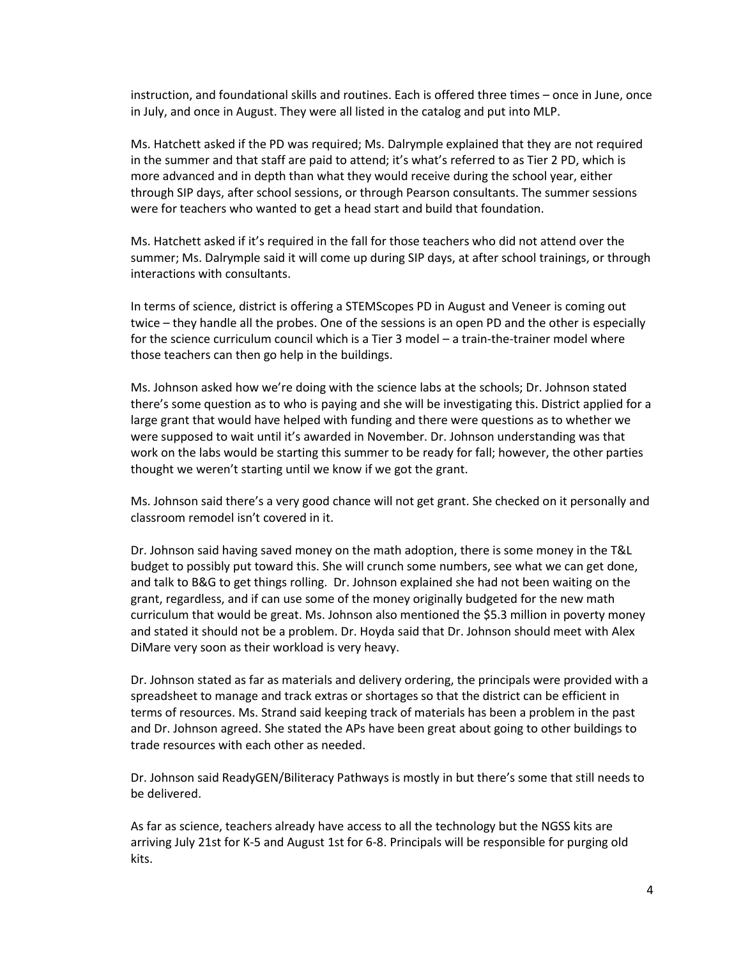instruction, and foundational skills and routines. Each is offered three times – once in June, once in July, and once in August. They were all listed in the catalog and put into MLP.

Ms. Hatchett asked if the PD was required; Ms. Dalrymple explained that they are not required in the summer and that staff are paid to attend; it's what's referred to as Tier 2 PD, which is more advanced and in depth than what they would receive during the school year, either through SIP days, after school sessions, or through Pearson consultants. The summer sessions were for teachers who wanted to get a head start and build that foundation.

Ms. Hatchett asked if it's required in the fall for those teachers who did not attend over the summer; Ms. Dalrymple said it will come up during SIP days, at after school trainings, or through interactions with consultants.

In terms of science, district is offering a STEMScopes PD in August and Veneer is coming out twice – they handle all the probes. One of the sessions is an open PD and the other is especially for the science curriculum council which is a Tier 3 model – a train-the-trainer model where those teachers can then go help in the buildings.

Ms. Johnson asked how we're doing with the science labs at the schools; Dr. Johnson stated there's some question as to who is paying and she will be investigating this. District applied for a large grant that would have helped with funding and there were questions as to whether we were supposed to wait until it's awarded in November. Dr. Johnson understanding was that work on the labs would be starting this summer to be ready for fall; however, the other parties thought we weren't starting until we know if we got the grant.

Ms. Johnson said there's a very good chance will not get grant. She checked on it personally and classroom remodel isn't covered in it.

Dr. Johnson said having saved money on the math adoption, there is some money in the T&L budget to possibly put toward this. She will crunch some numbers, see what we can get done, and talk to B&G to get things rolling. Dr. Johnson explained she had not been waiting on the grant, regardless, and if can use some of the money originally budgeted for the new math curriculum that would be great. Ms. Johnson also mentioned the \$5.3 million in poverty money and stated it should not be a problem. Dr. Hoyda said that Dr. Johnson should meet with Alex DiMare very soon as their workload is very heavy.

Dr. Johnson stated as far as materials and delivery ordering, the principals were provided with a spreadsheet to manage and track extras or shortages so that the district can be efficient in terms of resources. Ms. Strand said keeping track of materials has been a problem in the past and Dr. Johnson agreed. She stated the APs have been great about going to other buildings to trade resources with each other as needed.

Dr. Johnson said ReadyGEN/Biliteracy Pathways is mostly in but there's some that still needs to be delivered.

As far as science, teachers already have access to all the technology but the NGSS kits are arriving July 21st for K-5 and August 1st for 6-8. Principals will be responsible for purging old kits.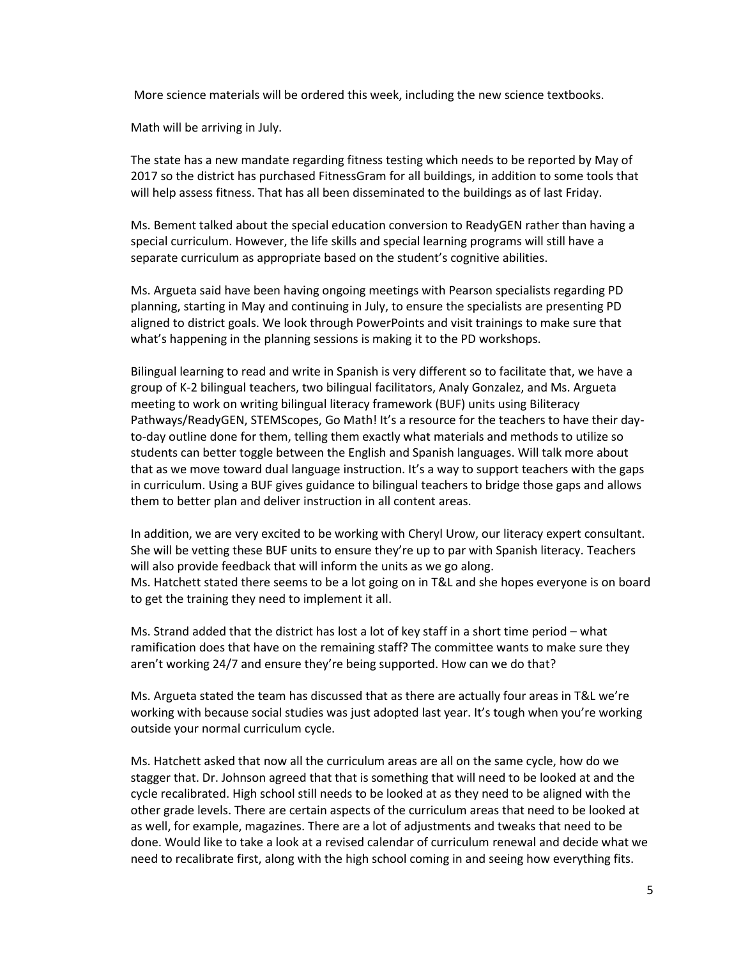More science materials will be ordered this week, including the new science textbooks.

Math will be arriving in July.

The state has a new mandate regarding fitness testing which needs to be reported by May of 2017 so the district has purchased FitnessGram for all buildings, in addition to some tools that will help assess fitness. That has all been disseminated to the buildings as of last Friday.

Ms. Bement talked about the special education conversion to ReadyGEN rather than having a special curriculum. However, the life skills and special learning programs will still have a separate curriculum as appropriate based on the student's cognitive abilities.

Ms. Argueta said have been having ongoing meetings with Pearson specialists regarding PD planning, starting in May and continuing in July, to ensure the specialists are presenting PD aligned to district goals. We look through PowerPoints and visit trainings to make sure that what's happening in the planning sessions is making it to the PD workshops.

Bilingual learning to read and write in Spanish is very different so to facilitate that, we have a group of K-2 bilingual teachers, two bilingual facilitators, Analy Gonzalez, and Ms. Argueta meeting to work on writing bilingual literacy framework (BUF) units using Biliteracy Pathways/ReadyGEN, STEMScopes, Go Math! It's a resource for the teachers to have their dayto-day outline done for them, telling them exactly what materials and methods to utilize so students can better toggle between the English and Spanish languages. Will talk more about that as we move toward dual language instruction. It's a way to support teachers with the gaps in curriculum. Using a BUF gives guidance to bilingual teachers to bridge those gaps and allows them to better plan and deliver instruction in all content areas.

In addition, we are very excited to be working with Cheryl Urow, our literacy expert consultant. She will be vetting these BUF units to ensure they're up to par with Spanish literacy. Teachers will also provide feedback that will inform the units as we go along. Ms. Hatchett stated there seems to be a lot going on in T&L and she hopes everyone is on board to get the training they need to implement it all.

Ms. Strand added that the district has lost a lot of key staff in a short time period – what ramification does that have on the remaining staff? The committee wants to make sure they aren't working 24/7 and ensure they're being supported. How can we do that?

Ms. Argueta stated the team has discussed that as there are actually four areas in T&L we're working with because social studies was just adopted last year. It's tough when you're working outside your normal curriculum cycle.

Ms. Hatchett asked that now all the curriculum areas are all on the same cycle, how do we stagger that. Dr. Johnson agreed that that is something that will need to be looked at and the cycle recalibrated. High school still needs to be looked at as they need to be aligned with the other grade levels. There are certain aspects of the curriculum areas that need to be looked at as well, for example, magazines. There are a lot of adjustments and tweaks that need to be done. Would like to take a look at a revised calendar of curriculum renewal and decide what we need to recalibrate first, along with the high school coming in and seeing how everything fits.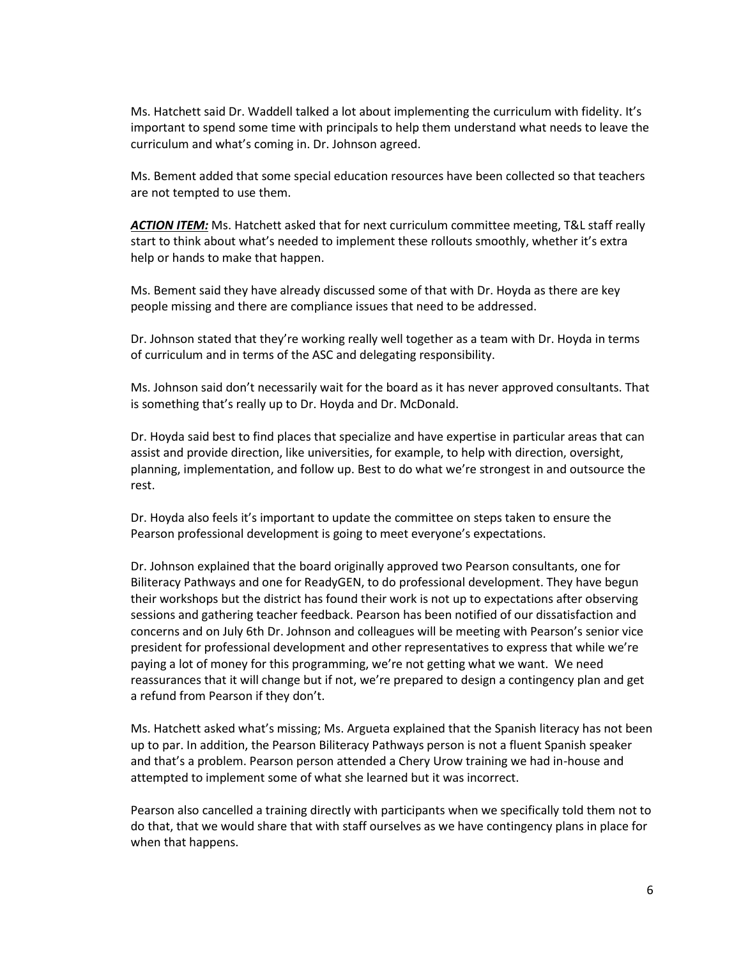Ms. Hatchett said Dr. Waddell talked a lot about implementing the curriculum with fidelity. It's important to spend some time with principals to help them understand what needs to leave the curriculum and what's coming in. Dr. Johnson agreed.

Ms. Bement added that some special education resources have been collected so that teachers are not tempted to use them.

*ACTION ITEM:* Ms. Hatchett asked that for next curriculum committee meeting, T&L staff really start to think about what's needed to implement these rollouts smoothly, whether it's extra help or hands to make that happen.

Ms. Bement said they have already discussed some of that with Dr. Hoyda as there are key people missing and there are compliance issues that need to be addressed.

Dr. Johnson stated that they're working really well together as a team with Dr. Hoyda in terms of curriculum and in terms of the ASC and delegating responsibility.

Ms. Johnson said don't necessarily wait for the board as it has never approved consultants. That is something that's really up to Dr. Hoyda and Dr. McDonald.

Dr. Hoyda said best to find places that specialize and have expertise in particular areas that can assist and provide direction, like universities, for example, to help with direction, oversight, planning, implementation, and follow up. Best to do what we're strongest in and outsource the rest.

Dr. Hoyda also feels it's important to update the committee on steps taken to ensure the Pearson professional development is going to meet everyone's expectations.

Dr. Johnson explained that the board originally approved two Pearson consultants, one for Biliteracy Pathways and one for ReadyGEN, to do professional development. They have begun their workshops but the district has found their work is not up to expectations after observing sessions and gathering teacher feedback. Pearson has been notified of our dissatisfaction and concerns and on July 6th Dr. Johnson and colleagues will be meeting with Pearson's senior vice president for professional development and other representatives to express that while we're paying a lot of money for this programming, we're not getting what we want. We need reassurances that it will change but if not, we're prepared to design a contingency plan and get a refund from Pearson if they don't.

Ms. Hatchett asked what's missing; Ms. Argueta explained that the Spanish literacy has not been up to par. In addition, the Pearson Biliteracy Pathways person is not a fluent Spanish speaker and that's a problem. Pearson person attended a Chery Urow training we had in-house and attempted to implement some of what she learned but it was incorrect.

Pearson also cancelled a training directly with participants when we specifically told them not to do that, that we would share that with staff ourselves as we have contingency plans in place for when that happens.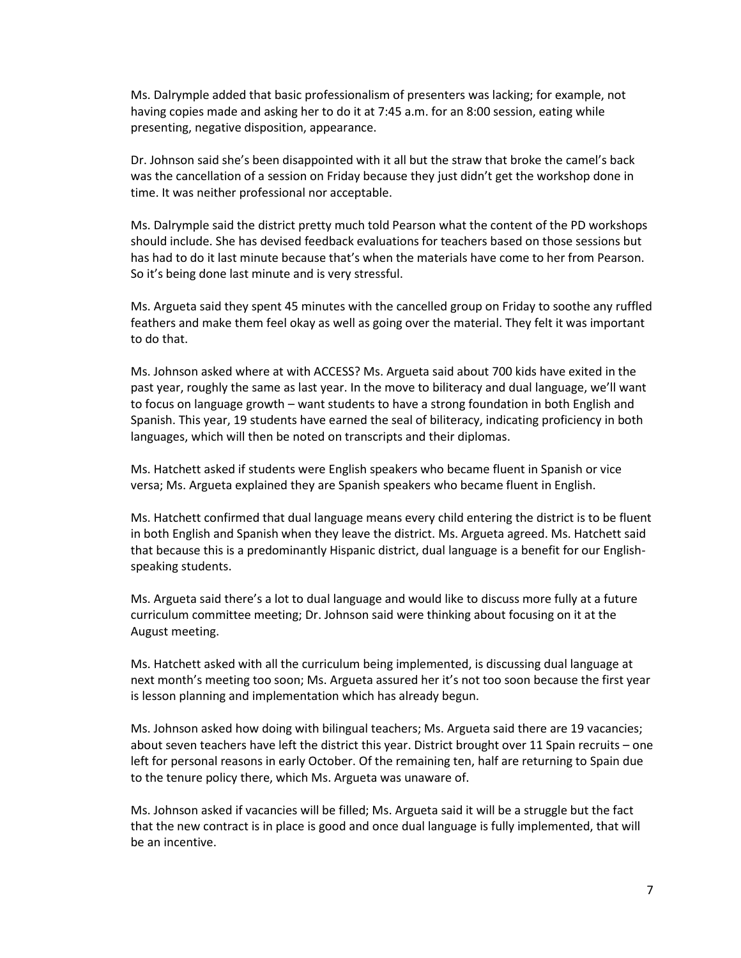Ms. Dalrymple added that basic professionalism of presenters was lacking; for example, not having copies made and asking her to do it at 7:45 a.m. for an 8:00 session, eating while presenting, negative disposition, appearance.

Dr. Johnson said she's been disappointed with it all but the straw that broke the camel's back was the cancellation of a session on Friday because they just didn't get the workshop done in time. It was neither professional nor acceptable.

Ms. Dalrymple said the district pretty much told Pearson what the content of the PD workshops should include. She has devised feedback evaluations for teachers based on those sessions but has had to do it last minute because that's when the materials have come to her from Pearson. So it's being done last minute and is very stressful.

Ms. Argueta said they spent 45 minutes with the cancelled group on Friday to soothe any ruffled feathers and make them feel okay as well as going over the material. They felt it was important to do that.

Ms. Johnson asked where at with ACCESS? Ms. Argueta said about 700 kids have exited in the past year, roughly the same as last year. In the move to biliteracy and dual language, we'll want to focus on language growth – want students to have a strong foundation in both English and Spanish. This year, 19 students have earned the seal of biliteracy, indicating proficiency in both languages, which will then be noted on transcripts and their diplomas.

Ms. Hatchett asked if students were English speakers who became fluent in Spanish or vice versa; Ms. Argueta explained they are Spanish speakers who became fluent in English.

Ms. Hatchett confirmed that dual language means every child entering the district is to be fluent in both English and Spanish when they leave the district. Ms. Argueta agreed. Ms. Hatchett said that because this is a predominantly Hispanic district, dual language is a benefit for our Englishspeaking students.

Ms. Argueta said there's a lot to dual language and would like to discuss more fully at a future curriculum committee meeting; Dr. Johnson said were thinking about focusing on it at the August meeting.

Ms. Hatchett asked with all the curriculum being implemented, is discussing dual language at next month's meeting too soon; Ms. Argueta assured her it's not too soon because the first year is lesson planning and implementation which has already begun.

Ms. Johnson asked how doing with bilingual teachers; Ms. Argueta said there are 19 vacancies; about seven teachers have left the district this year. District brought over 11 Spain recruits – one left for personal reasons in early October. Of the remaining ten, half are returning to Spain due to the tenure policy there, which Ms. Argueta was unaware of.

Ms. Johnson asked if vacancies will be filled; Ms. Argueta said it will be a struggle but the fact that the new contract is in place is good and once dual language is fully implemented, that will be an incentive.